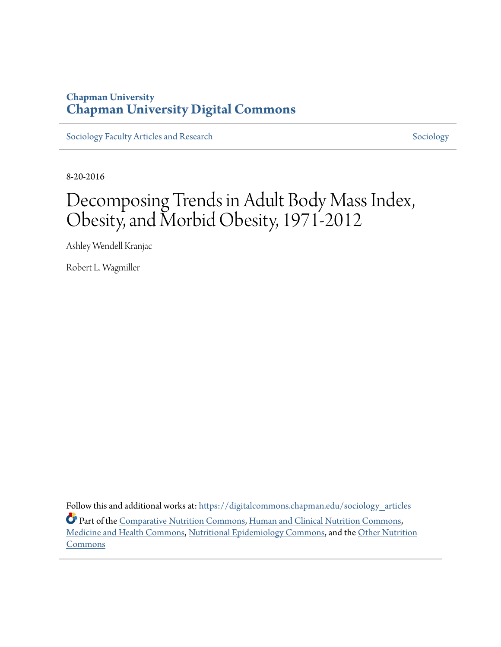## **Chapman University [Chapman University Digital Commons](https://digitalcommons.chapman.edu?utm_source=digitalcommons.chapman.edu%2Fsociology_articles%2F44&utm_medium=PDF&utm_campaign=PDFCoverPages)**

[Sociology Faculty Articles and Research](https://digitalcommons.chapman.edu/sociology_articles?utm_source=digitalcommons.chapman.edu%2Fsociology_articles%2F44&utm_medium=PDF&utm_campaign=PDFCoverPages) [Sociology](https://digitalcommons.chapman.edu/sociology?utm_source=digitalcommons.chapman.edu%2Fsociology_articles%2F44&utm_medium=PDF&utm_campaign=PDFCoverPages) Sociology

8-20-2016

# Decomposing Trends in Adult Body Mass Index, Obesity, and Morbid Obesity, 1971-2012

Ashley Wendell Kranjac

Robert L. Wagmiller

Follow this and additional works at: [https://digitalcommons.chapman.edu/sociology\\_articles](https://digitalcommons.chapman.edu/sociology_articles?utm_source=digitalcommons.chapman.edu%2Fsociology_articles%2F44&utm_medium=PDF&utm_campaign=PDFCoverPages) Part of the [Comparative Nutrition Commons,](http://network.bepress.com/hgg/discipline/96?utm_source=digitalcommons.chapman.edu%2Fsociology_articles%2F44&utm_medium=PDF&utm_campaign=PDFCoverPages) [Human and Clinical Nutrition Commons](http://network.bepress.com/hgg/discipline/97?utm_source=digitalcommons.chapman.edu%2Fsociology_articles%2F44&utm_medium=PDF&utm_campaign=PDFCoverPages), [Medicine and Health Commons,](http://network.bepress.com/hgg/discipline/422?utm_source=digitalcommons.chapman.edu%2Fsociology_articles%2F44&utm_medium=PDF&utm_campaign=PDFCoverPages) [Nutritional Epidemiology Commons,](http://network.bepress.com/hgg/discipline/100?utm_source=digitalcommons.chapman.edu%2Fsociology_articles%2F44&utm_medium=PDF&utm_campaign=PDFCoverPages) and the [Other Nutrition](http://network.bepress.com/hgg/discipline/101?utm_source=digitalcommons.chapman.edu%2Fsociology_articles%2F44&utm_medium=PDF&utm_campaign=PDFCoverPages) **[Commons](http://network.bepress.com/hgg/discipline/101?utm_source=digitalcommons.chapman.edu%2Fsociology_articles%2F44&utm_medium=PDF&utm_campaign=PDFCoverPages)**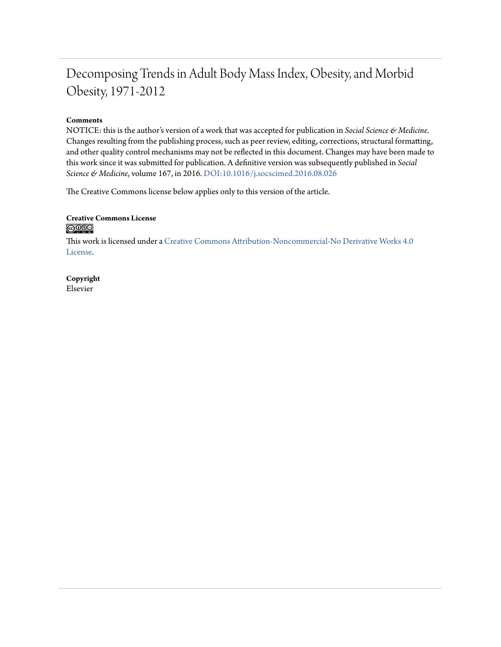## Decomposing Trends in Adult Body Mass Index, Obesity, and Morbid Obesity, 1971-2012

## **Comments**

NOTICE: this is the author's version of a work that was accepted for publication in *Social Science & Medicine*. Changes resulting from the publishing process, such as peer review, editing, corrections, structural formatting, and other quality control mechanisms may not be reflected in this document. Changes may have been made to this work since it was submitted for publication. A definitive version was subsequently published in *Social Science & Medicine*, volume 167, in 2016. [DOI:10.1016/j.socscimed.2016.08.026](https://doi.org/10.1016/j.socscimed.2016.08.026)

The Creative Commons license below applies only to this version of the article.

## **Creative Commons License**  $\bigcirc$   $\circ$

This work is licensed under a [Creative Commons Attribution-Noncommercial-No Derivative Works 4.0](https://creativecommons.org/licenses/by-nc-nd/4.0/) [License.](https://creativecommons.org/licenses/by-nc-nd/4.0/)

**Copyright** Elsevier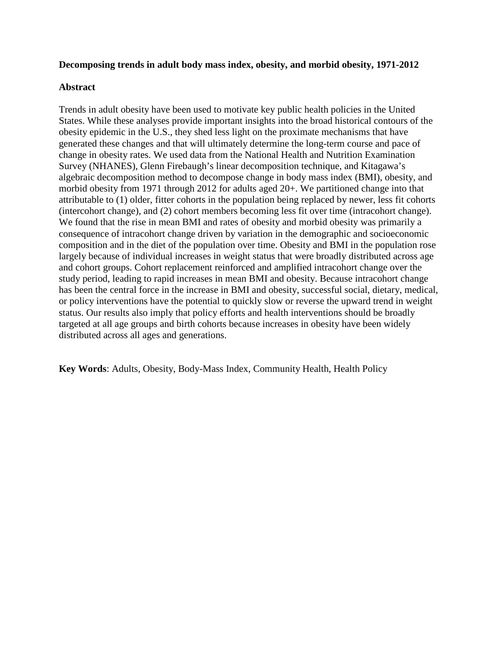## **Decomposing trends in adult body mass index, obesity, and morbid obesity, 1971-2012**

## **Abstract**

Trends in adult obesity have been used to motivate key public health policies in the United States. While these analyses provide important insights into the broad historical contours of the obesity epidemic in the U.S., they shed less light on the proximate mechanisms that have generated these changes and that will ultimately determine the long-term course and pace of change in obesity rates. We used data from the National Health and Nutrition Examination Survey (NHANES), Glenn Firebaugh's linear decomposition technique, and Kitagawa's algebraic decomposition method to decompose change in body mass index (BMI), obesity, and morbid obesity from 1971 through 2012 for adults aged 20+. We partitioned change into that attributable to (1) older, fitter cohorts in the population being replaced by newer, less fit cohorts (intercohort change), and (2) cohort members becoming less fit over time (intracohort change). We found that the rise in mean BMI and rates of obesity and morbid obesity was primarily a consequence of intracohort change driven by variation in the demographic and socioeconomic composition and in the diet of the population over time. Obesity and BMI in the population rose largely because of individual increases in weight status that were broadly distributed across age and cohort groups. Cohort replacement reinforced and amplified intracohort change over the study period, leading to rapid increases in mean BMI and obesity. Because intracohort change has been the central force in the increase in BMI and obesity, successful social, dietary, medical, or policy interventions have the potential to quickly slow or reverse the upward trend in weight status. Our results also imply that policy efforts and health interventions should be broadly targeted at all age groups and birth cohorts because increases in obesity have been widely distributed across all ages and generations.

**Key Words**: Adults, Obesity, Body-Mass Index, Community Health, Health Policy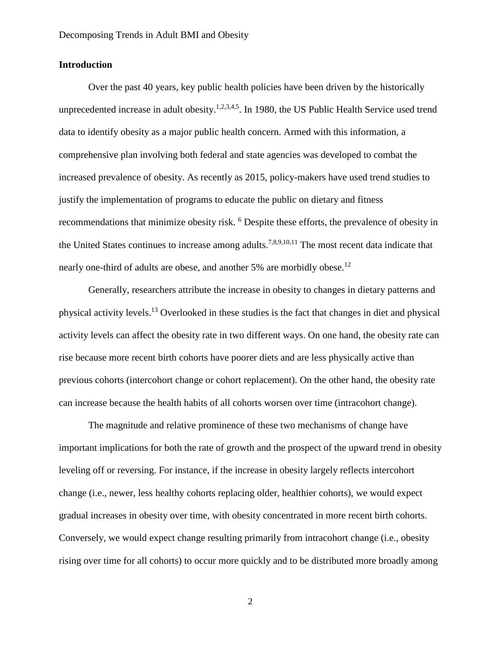## **Introduction**

Over the past 40 years, key public health policies have been driven by the historically unprecedented increase in adult obesity.<sup>1,2,3,4,5</sup>. In 1980, the US Public Health Service used trend data to identify obesity as a major public health concern. Armed with this information, a comprehensive plan involving both federal and state agencies was developed to combat the increased prevalence of obesity. As recently as 2015, policy-makers have used trend studies to justify the implementation of programs to educate the public on dietary and fitness recommendations that minimize obesity risk. <sup>6</sup> Despite these efforts, the prevalence of obesity in the United States continues to increase among adults.<sup>7,8,9,10,11</sup> The most recent data indicate that nearly one-third of adults are obese, and another 5% are morbidly obese.<sup>12</sup>

Generally, researchers attribute the increase in obesity to changes in dietary patterns and physical activity levels. <sup>13</sup> Overlooked in these studies is the fact that changes in diet and physical activity levels can affect the obesity rate in two different ways. On one hand, the obesity rate can rise because more recent birth cohorts have poorer diets and are less physically active than previous cohorts (intercohort change or cohort replacement). On the other hand, the obesity rate can increase because the health habits of all cohorts worsen over time (intracohort change).

The magnitude and relative prominence of these two mechanisms of change have important implications for both the rate of growth and the prospect of the upward trend in obesity leveling off or reversing. For instance, if the increase in obesity largely reflects intercohort change (i.e., newer, less healthy cohorts replacing older, healthier cohorts), we would expect gradual increases in obesity over time, with obesity concentrated in more recent birth cohorts. Conversely, we would expect change resulting primarily from intracohort change (i.e., obesity rising over time for all cohorts) to occur more quickly and to be distributed more broadly among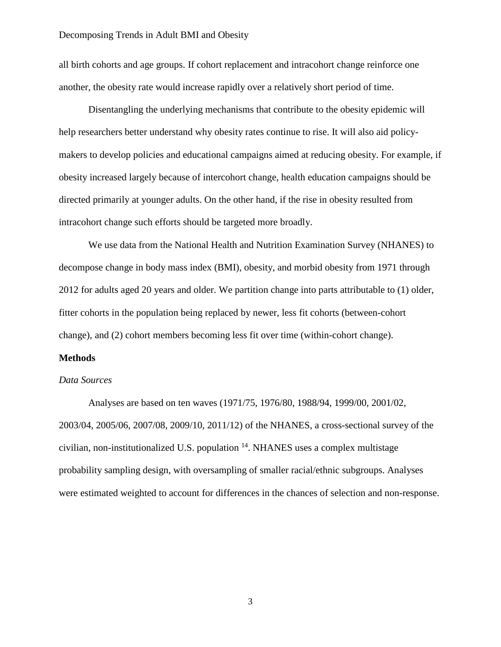all birth cohorts and age groups. If cohort replacement and intracohort change reinforce one another, the obesity rate would increase rapidly over a relatively short period of time.

Disentangling the underlying mechanisms that contribute to the obesity epidemic will help researchers better understand why obesity rates continue to rise. It will also aid policymakers to develop policies and educational campaigns aimed at reducing obesity. For example, if obesity increased largely because of intercohort change, health education campaigns should be directed primarily at younger adults. On the other hand, if the rise in obesity resulted from intracohort change such efforts should be targeted more broadly.

We use data from the National Health and Nutrition Examination Survey (NHANES) to decompose change in body mass index (BMI), obesity, and morbid obesity from 1971 through 2012 for adults aged 20 years and older. We partition change into parts attributable to (1) older, fitter cohorts in the population being replaced by newer, less fit cohorts (between-cohort change), and (2) cohort members becoming less fit over time (within-cohort change).

## **Methods**

## *Data Sources*

Analyses are based on ten waves (1971/75, 1976/80, 1988/94, 1999/00, 2001/02, 2003/04, 2005/06, 2007/08, 2009/10, 2011/12) of the NHANES, a cross-sectional survey of the civilian, non-institutionalized U.S. population  $14$ . NHANES uses a complex multistage probability sampling design, with oversampling of smaller racial/ethnic subgroups. Analyses were estimated weighted to account for differences in the chances of selection and non-response.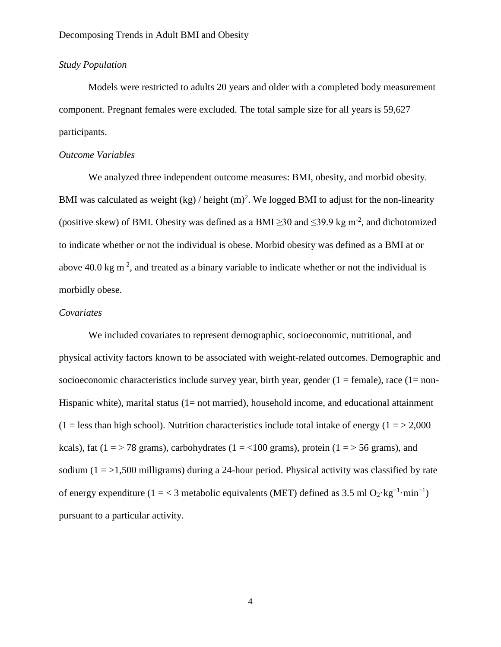## *Study Population*

Models were restricted to adults 20 years and older with a completed body measurement component. Pregnant females were excluded. The total sample size for all years is 59,627 participants.

## *Outcome Variables*

We analyzed three independent outcome measures: BMI, obesity, and morbid obesity. BMI was calculated as weight (kg) / height  $(m)^2$ . We logged BMI to adjust for the non-linearity (positive skew) of BMI. Obesity was defined as a BMI  $\geq$ 30 and  $\leq$ 39.9 kg m<sup>-2</sup>, and dichotomized to indicate whether or not the individual is obese. Morbid obesity was defined as a BMI at or above 40.0 kg m<sup>-2</sup>, and treated as a binary variable to indicate whether or not the individual is morbidly obese.

## *Covariates*

We included covariates to represent demographic, socioeconomic, nutritional, and physical activity factors known to be associated with weight-related outcomes. Demographic and socioeconomic characteristics include survey year, birth year, gender  $(1 = \text{female})$ , race  $(1 = \text{non-}$ Hispanic white), marital status  $(1=$  not married), household income, and educational attainment  $(1 =$  less than high school). Nutrition characteristics include total intake of energy  $(1 = > 2,000)$ kcals), fat ( $1 = > 78$  grams), carbohydrates ( $1 = < 100$  grams), protein ( $1 = > 56$  grams), and sodium  $(1 = 1,500$  milligrams) during a 24-hour period. Physical activity was classified by rate of energy expenditure (1 = < 3 metabolic equivalents (MET) defined as 3.5 ml  $O_2 \text{·kg}^{-1} \cdot \text{min}^{-1}$ ) pursuant to a particular activity.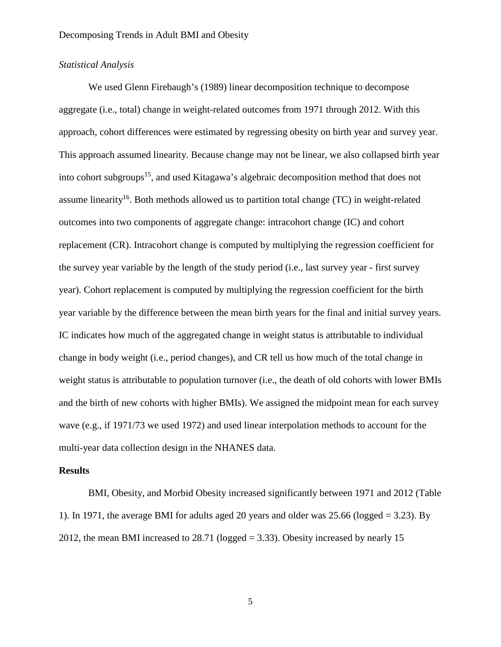## *Statistical Analysis*

We used Glenn Firebaugh's (1989) linear decomposition technique to decompose aggregate (i.e., total) change in weight-related outcomes from 1971 through 2012. With this approach, cohort differences were estimated by regressing obesity on birth year and survey year. This approach assumed linearity. Because change may not be linear, we also collapsed birth year into cohort subgroups<sup>15</sup>, and used Kitagawa's algebraic decomposition method that does not assume linearity<sup>16</sup>. Both methods allowed us to partition total change (TC) in weight-related outcomes into two components of aggregate change: intracohort change (IC) and cohort replacement (CR). Intracohort change is computed by multiplying the regression coefficient for the survey year variable by the length of the study period (i.e., last survey year - first survey year). Cohort replacement is computed by multiplying the regression coefficient for the birth year variable by the difference between the mean birth years for the final and initial survey years. IC indicates how much of the aggregated change in weight status is attributable to individual change in body weight (i.e., period changes), and CR tell us how much of the total change in weight status is attributable to population turnover (i.e., the death of old cohorts with lower BMIs and the birth of new cohorts with higher BMIs). We assigned the midpoint mean for each survey wave (e.g., if 1971/73 we used 1972) and used linear interpolation methods to account for the multi-year data collection design in the NHANES data.

## **Results**

BMI, Obesity, and Morbid Obesity increased significantly between 1971 and 2012 (Table 1). In 1971, the average BMI for adults aged 20 years and older was 25.66 (logged = 3.23). By 2012, the mean BMI increased to  $28.71$  (logged  $= 3.33$ ). Obesity increased by nearly 15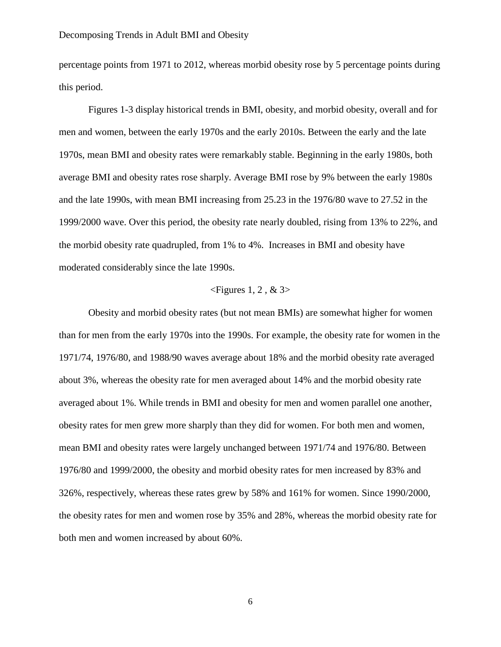percentage points from 1971 to 2012, whereas morbid obesity rose by 5 percentage points during this period.

Figures 1-3 display historical trends in BMI, obesity, and morbid obesity, overall and for men and women, between the early 1970s and the early 2010s. Between the early and the late 1970s, mean BMI and obesity rates were remarkably stable. Beginning in the early 1980s, both average BMI and obesity rates rose sharply. Average BMI rose by 9% between the early 1980s and the late 1990s, with mean BMI increasing from 25.23 in the 1976/80 wave to 27.52 in the 1999/2000 wave. Over this period, the obesity rate nearly doubled, rising from 13% to 22%, and the morbid obesity rate quadrupled, from 1% to 4%. Increases in BMI and obesity have moderated considerably since the late 1990s.

## $\leq$ Figures 1, 2, & 3>

Obesity and morbid obesity rates (but not mean BMIs) are somewhat higher for women than for men from the early 1970s into the 1990s. For example, the obesity rate for women in the 1971/74, 1976/80, and 1988/90 waves average about 18% and the morbid obesity rate averaged about 3%, whereas the obesity rate for men averaged about 14% and the morbid obesity rate averaged about 1%. While trends in BMI and obesity for men and women parallel one another, obesity rates for men grew more sharply than they did for women. For both men and women, mean BMI and obesity rates were largely unchanged between 1971/74 and 1976/80. Between 1976/80 and 1999/2000, the obesity and morbid obesity rates for men increased by 83% and 326%, respectively, whereas these rates grew by 58% and 161% for women. Since 1990/2000, the obesity rates for men and women rose by 35% and 28%, whereas the morbid obesity rate for both men and women increased by about 60%.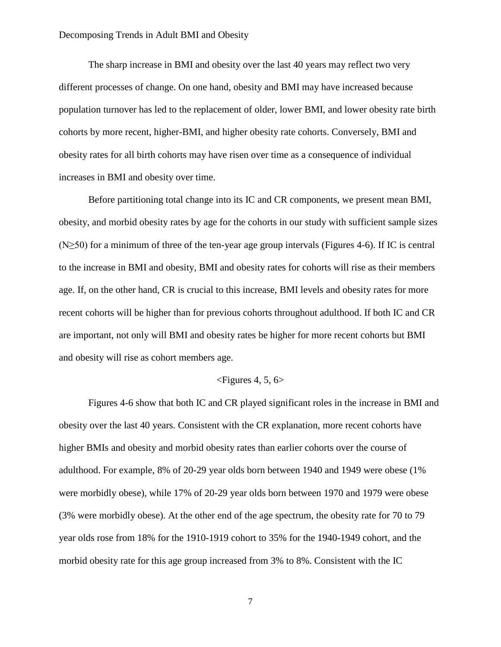The sharp increase in BMI and obesity over the last 40 years may reflect two very different processes of change. On one hand, obesity and BMI may have increased because population turnover has led to the replacement of older, lower BMI, and lower obesity rate birth cohorts by more recent, higher-BMI, and higher obesity rate cohorts. Conversely, BMI and obesity rates for all birth cohorts may have risen over time as a consequence of individual increases in BMI and obesity over time.

Before partitioning total change into its IC and CR components, we present mean BMI, obesity, and morbid obesity rates by age for the cohorts in our study with sufficient sample sizes (N≥50) for a minimum of three of the ten-year age group intervals (Figures 4-6). If IC is central to the increase in BMI and obesity, BMI and obesity rates for cohorts will rise as their members age. If, on the other hand, CR is crucial to this increase, BMI levels and obesity rates for more recent cohorts will be higher than for previous cohorts throughout adulthood. If both IC and CR are important, not only will BMI and obesity rates be higher for more recent cohorts but BMI and obesity will rise as cohort members age.

## $\leq$ Figures 4, 5, 6>

Figures 4-6 show that both IC and CR played significant roles in the increase in BMI and obesity over the last 40 years. Consistent with the CR explanation, more recent cohorts have higher BMIs and obesity and morbid obesity rates than earlier cohorts over the course of adulthood. For example, 8% of 20-29 year olds born between 1940 and 1949 were obese (1% were morbidly obese), while 17% of 20-29 year olds born between 1970 and 1979 were obese (3% were morbidly obese). At the other end of the age spectrum, the obesity rate for 70 to 79 year olds rose from 18% for the 1910-1919 cohort to 35% for the 1940-1949 cohort, and the morbid obesity rate for this age group increased from 3% to 8%. Consistent with the IC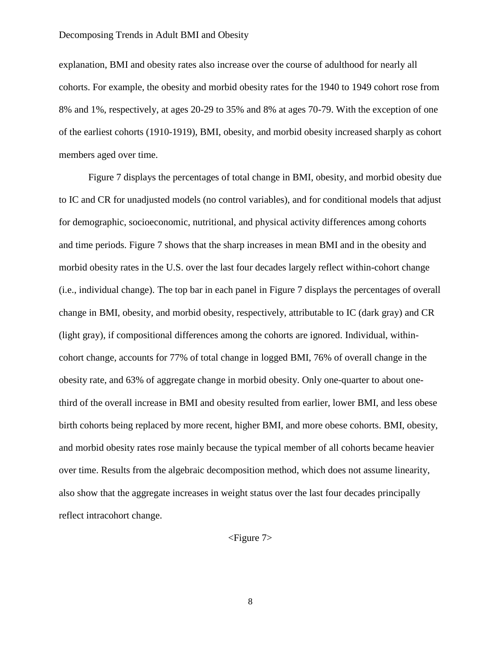explanation, BMI and obesity rates also increase over the course of adulthood for nearly all cohorts. For example, the obesity and morbid obesity rates for the 1940 to 1949 cohort rose from 8% and 1%, respectively, at ages 20-29 to 35% and 8% at ages 70-79. With the exception of one of the earliest cohorts (1910-1919), BMI, obesity, and morbid obesity increased sharply as cohort members aged over time.

Figure 7 displays the percentages of total change in BMI, obesity, and morbid obesity due to IC and CR for unadjusted models (no control variables), and for conditional models that adjust for demographic, socioeconomic, nutritional, and physical activity differences among cohorts and time periods. Figure 7 shows that the sharp increases in mean BMI and in the obesity and morbid obesity rates in the U.S. over the last four decades largely reflect within-cohort change (i.e., individual change). The top bar in each panel in Figure 7 displays the percentages of overall change in BMI, obesity, and morbid obesity, respectively, attributable to IC (dark gray) and CR (light gray), if compositional differences among the cohorts are ignored. Individual, withincohort change, accounts for 77% of total change in logged BMI, 76% of overall change in the obesity rate, and 63% of aggregate change in morbid obesity. Only one-quarter to about onethird of the overall increase in BMI and obesity resulted from earlier, lower BMI, and less obese birth cohorts being replaced by more recent, higher BMI, and more obese cohorts. BMI, obesity, and morbid obesity rates rose mainly because the typical member of all cohorts became heavier over time. Results from the algebraic decomposition method, which does not assume linearity, also show that the aggregate increases in weight status over the last four decades principally reflect intracohort change.

<Figure 7>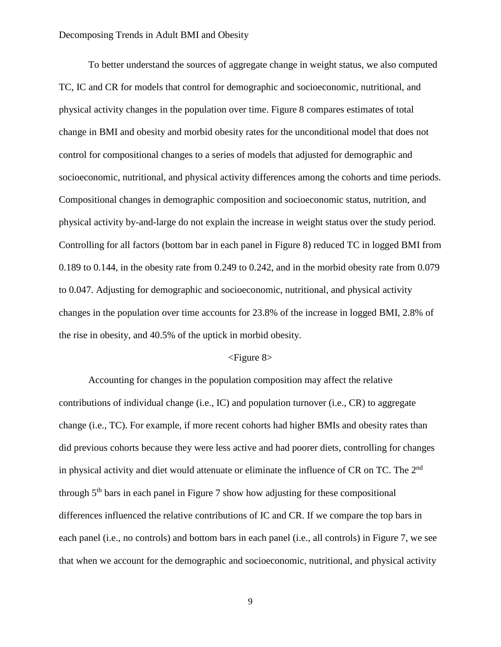To better understand the sources of aggregate change in weight status, we also computed TC, IC and CR for models that control for demographic and socioeconomic, nutritional, and physical activity changes in the population over time. Figure 8 compares estimates of total change in BMI and obesity and morbid obesity rates for the unconditional model that does not control for compositional changes to a series of models that adjusted for demographic and socioeconomic, nutritional, and physical activity differences among the cohorts and time periods. Compositional changes in demographic composition and socioeconomic status, nutrition, and physical activity by-and-large do not explain the increase in weight status over the study period. Controlling for all factors (bottom bar in each panel in Figure 8) reduced TC in logged BMI from 0.189 to 0.144, in the obesity rate from 0.249 to 0.242, and in the morbid obesity rate from 0.079 to 0.047. Adjusting for demographic and socioeconomic, nutritional, and physical activity changes in the population over time accounts for 23.8% of the increase in logged BMI, 2.8% of the rise in obesity, and 40.5% of the uptick in morbid obesity.

## <Figure 8>

Accounting for changes in the population composition may affect the relative contributions of individual change (i.e., IC) and population turnover (i.e., CR) to aggregate change (i.e., TC). For example, if more recent cohorts had higher BMIs and obesity rates than did previous cohorts because they were less active and had poorer diets, controlling for changes in physical activity and diet would attenuate or eliminate the influence of CR on TC. The 2<sup>nd</sup> through  $5<sup>th</sup>$  bars in each panel in Figure 7 show how adjusting for these compositional differences influenced the relative contributions of IC and CR. If we compare the top bars in each panel (i.e., no controls) and bottom bars in each panel (i.e., all controls) in Figure 7, we see that when we account for the demographic and socioeconomic, nutritional, and physical activity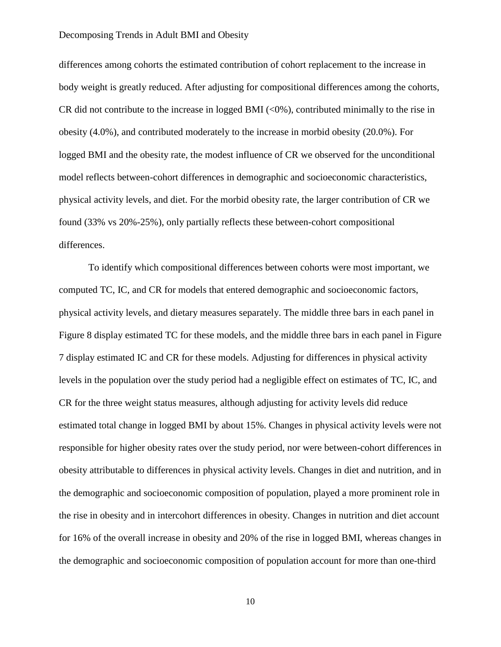differences among cohorts the estimated contribution of cohort replacement to the increase in body weight is greatly reduced. After adjusting for compositional differences among the cohorts, CR did not contribute to the increase in logged BMI  $(<0%)$ , contributed minimally to the rise in obesity (4.0%), and contributed moderately to the increase in morbid obesity (20.0%). For logged BMI and the obesity rate, the modest influence of CR we observed for the unconditional model reflects between-cohort differences in demographic and socioeconomic characteristics, physical activity levels, and diet. For the morbid obesity rate, the larger contribution of CR we found (33% vs 20%-25%), only partially reflects these between-cohort compositional differences.

To identify which compositional differences between cohorts were most important, we computed TC, IC, and CR for models that entered demographic and socioeconomic factors, physical activity levels, and dietary measures separately. The middle three bars in each panel in Figure 8 display estimated TC for these models, and the middle three bars in each panel in Figure 7 display estimated IC and CR for these models. Adjusting for differences in physical activity levels in the population over the study period had a negligible effect on estimates of TC, IC, and CR for the three weight status measures, although adjusting for activity levels did reduce estimated total change in logged BMI by about 15%. Changes in physical activity levels were not responsible for higher obesity rates over the study period, nor were between-cohort differences in obesity attributable to differences in physical activity levels. Changes in diet and nutrition, and in the demographic and socioeconomic composition of population, played a more prominent role in the rise in obesity and in intercohort differences in obesity. Changes in nutrition and diet account for 16% of the overall increase in obesity and 20% of the rise in logged BMI, whereas changes in the demographic and socioeconomic composition of population account for more than one-third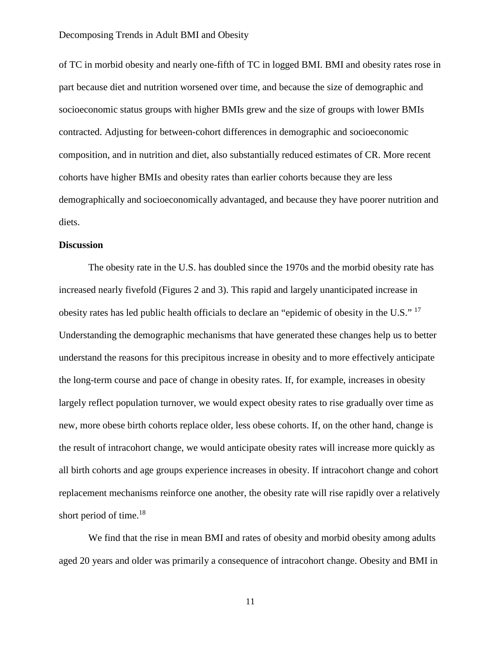of TC in morbid obesity and nearly one-fifth of TC in logged BMI. BMI and obesity rates rose in part because diet and nutrition worsened over time, and because the size of demographic and socioeconomic status groups with higher BMIs grew and the size of groups with lower BMIs contracted. Adjusting for between-cohort differences in demographic and socioeconomic composition, and in nutrition and diet, also substantially reduced estimates of CR. More recent cohorts have higher BMIs and obesity rates than earlier cohorts because they are less demographically and socioeconomically advantaged, and because they have poorer nutrition and diets.

## **Discussion**

The obesity rate in the U.S. has doubled since the 1970s and the morbid obesity rate has increased nearly fivefold (Figures 2 and 3). This rapid and largely unanticipated increase in obesity rates has led public health officials to declare an "epidemic of obesity in the U.S." 17 Understanding the demographic mechanisms that have generated these changes help us to better understand the reasons for this precipitous increase in obesity and to more effectively anticipate the long-term course and pace of change in obesity rates. If, for example, increases in obesity largely reflect population turnover, we would expect obesity rates to rise gradually over time as new, more obese birth cohorts replace older, less obese cohorts. If, on the other hand, change is the result of intracohort change, we would anticipate obesity rates will increase more quickly as all birth cohorts and age groups experience increases in obesity. If intracohort change and cohort replacement mechanisms reinforce one another, the obesity rate will rise rapidly over a relatively short period of time.<sup>18</sup>

We find that the rise in mean BMI and rates of obesity and morbid obesity among adults aged 20 years and older was primarily a consequence of intracohort change. Obesity and BMI in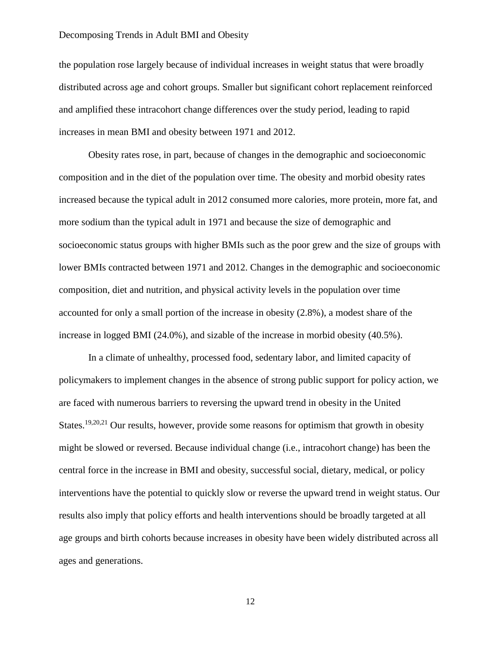the population rose largely because of individual increases in weight status that were broadly distributed across age and cohort groups. Smaller but significant cohort replacement reinforced and amplified these intracohort change differences over the study period, leading to rapid increases in mean BMI and obesity between 1971 and 2012.

Obesity rates rose, in part, because of changes in the demographic and socioeconomic composition and in the diet of the population over time. The obesity and morbid obesity rates increased because the typical adult in 2012 consumed more calories, more protein, more fat, and more sodium than the typical adult in 1971 and because the size of demographic and socioeconomic status groups with higher BMIs such as the poor grew and the size of groups with lower BMIs contracted between 1971 and 2012. Changes in the demographic and socioeconomic composition, diet and nutrition, and physical activity levels in the population over time accounted for only a small portion of the increase in obesity (2.8%), a modest share of the increase in logged BMI (24.0%), and sizable of the increase in morbid obesity (40.5%).

In a climate of unhealthy, processed food, sedentary labor, and limited capacity of policymakers to implement changes in the absence of strong public support for policy action, we are faced with numerous barriers to reversing the upward trend in obesity in the United States.<sup>19,20,21</sup> Our results, however, provide some reasons for optimism that growth in obesity might be slowed or reversed. Because individual change (i.e., intracohort change) has been the central force in the increase in BMI and obesity, successful social, dietary, medical, or policy interventions have the potential to quickly slow or reverse the upward trend in weight status. Our results also imply that policy efforts and health interventions should be broadly targeted at all age groups and birth cohorts because increases in obesity have been widely distributed across all ages and generations.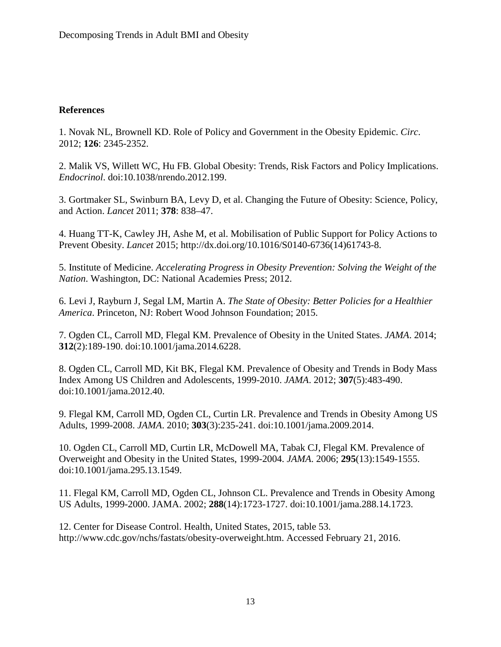## **References**

1. Novak NL, Brownell KD. Role of Policy and Government in the Obesity Epidemic. *Circ*. 2012; **126**: 2345-2352.

2. Malik VS, Willett WC, Hu FB. Global Obesity: Trends, Risk Factors and Policy Implications. *Endocrinol*. doi:10.1038/nrendo.2012.199.

3. Gortmaker SL, Swinburn BA, Levy D, et al. Changing the Future of Obesity: Science, Policy, and Action. *Lancet* 2011; **378**: 838–47.

4. Huang TT-K, Cawley JH, Ashe M, et al. Mobilisation of Public Support for Policy Actions to Prevent Obesity. *Lancet* 2015; http://dx.doi.org/10.1016/S0140-6736(14)61743-8.

5. Institute of Medicine. *Accelerating Progress in Obesity Prevention: Solving the Weight of the Nation*. Washington, DC: National Academies Press; 2012.

6. Levi J, Rayburn J, Segal LM, Martin A. *The State of Obesity: Better Policies for a Healthier America*. Princeton, NJ: Robert Wood Johnson Foundation; 2015.

7. Ogden CL, Carroll MD, Flegal KM. Prevalence of Obesity in the United States. *JAMA*. 2014; **312**(2):189-190. doi:10.1001/jama.2014.6228.

8. Ogden CL, Carroll MD, Kit BK, Flegal KM. Prevalence of Obesity and Trends in Body Mass Index Among US Children and Adolescents, 1999-2010. *JAMA*. 2012; **307**(5):483-490. doi:10.1001/jama.2012.40.

9. Flegal KM, Carroll MD, Ogden CL, Curtin LR. Prevalence and Trends in Obesity Among US Adults, 1999-2008. *JAMA*. 2010; **303**(3):235-241. doi:10.1001/jama.2009.2014.

10. Ogden CL, Carroll MD, Curtin LR, McDowell MA, Tabak CJ, Flegal KM. Prevalence of Overweight and Obesity in the United States, 1999-2004. *JAMA*. 2006; **295**(13):1549-1555. doi:10.1001/jama.295.13.1549.

11. Flegal KM, Carroll MD, Ogden CL, Johnson CL. Prevalence and Trends in Obesity Among US Adults, 1999-2000. JAMA. 2002; **288**(14):1723-1727. doi:10.1001/jama.288.14.1723.

12. Center for Disease Control. Health, United States, 2015, table 53. http://www.cdc.gov/nchs/fastats/obesity-overweight.htm. Accessed February 21, 2016.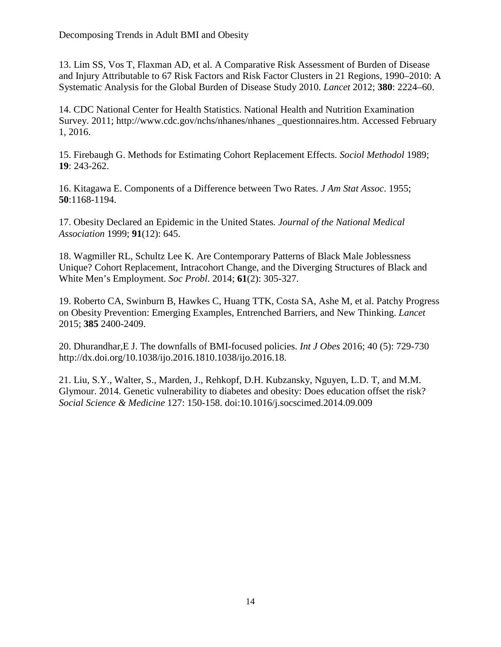13. Lim SS, Vos T, Flaxman AD, et al. A Comparative Risk Assessment of Burden of Disease and Injury Attributable to 67 Risk Factors and Risk Factor Clusters in 21 Regions, 1990–2010: A Systematic Analysis for the Global Burden of Disease Study 2010. *Lancet* 2012; **380**: 2224–60.

14. CDC National Center for Health Statistics. National Health and Nutrition Examination Survey. 2011; http://www.cdc.gov/nchs/nhanes/nhanes \_questionnaires.htm. Accessed February 1, 2016.

15. Firebaugh G. Methods for Estimating Cohort Replacement Effects. *Sociol Methodol* 1989; **19**: 243-262.

16. Kitagawa E. Components of a Difference between Two Rates. *J Am Stat Assoc*. 1955; **50**:1168-1194.

17. Obesity Declared an Epidemic in the United States*. Journal of the National Medical Association* 1999; **91**(12): 645.

18. Wagmiller RL, Schultz Lee K. Are Contemporary Patterns of Black Male Joblessness Unique? Cohort Replacement, Intracohort Change, and the Diverging Structures of Black and White Men's Employment. *Soc Probl*. 2014; **61**(2): 305-327.

19. Roberto CA, Swinburn B, Hawkes C, Huang TTK, Costa SA, Ashe M, et al. Patchy Progress on Obesity Prevention: Emerging Examples, Entrenched Barriers, and New Thinking. *Lancet* 2015; **385** 2400-2409.

20. Dhurandhar,E J. The downfalls of BMI-focused policies. *Int J Obes* 2016; 40 (5): 729-730 http://dx.doi.org/10.1038/ijo.2016.1810.1038/ijo.2016.18.

21. Liu, S.Y., Walter, S., Marden, J., Rehkopf, D.H. Kubzansky, Nguyen, L.D. T, and M.M. Glymour. 2014. Genetic vulnerability to diabetes and obesity: Does education offset the risk? *Social Science & Medicine* 127: 150-158. doi:10.1016/j.socscimed.2014.09.009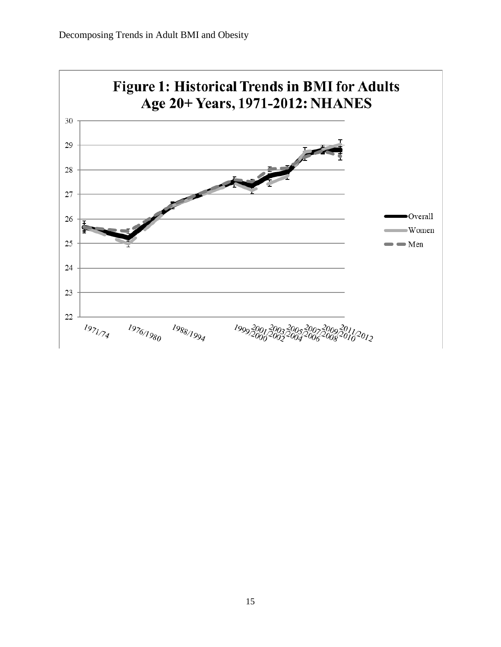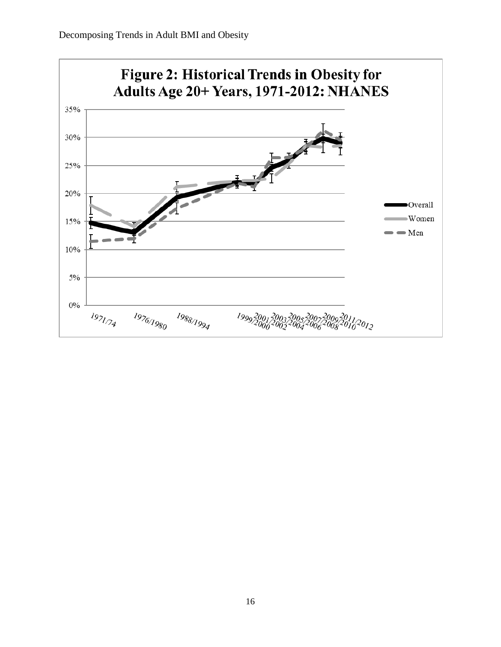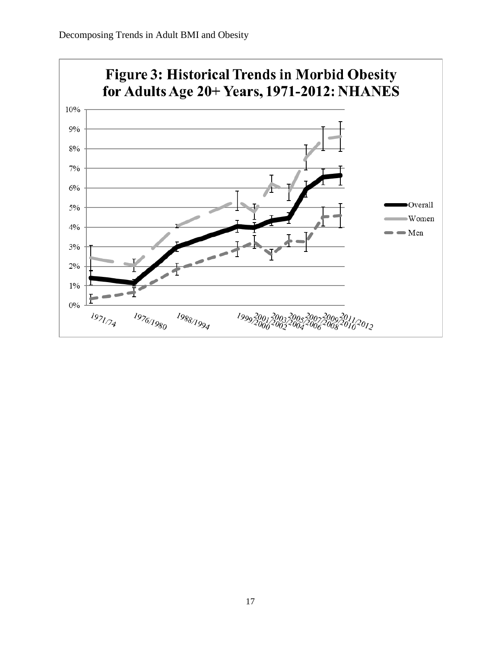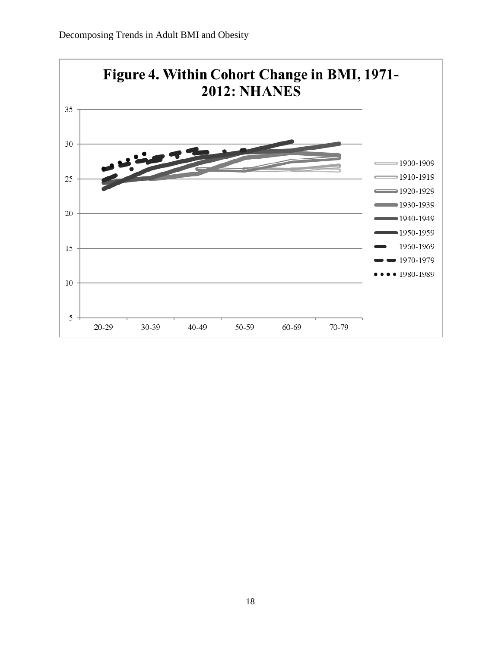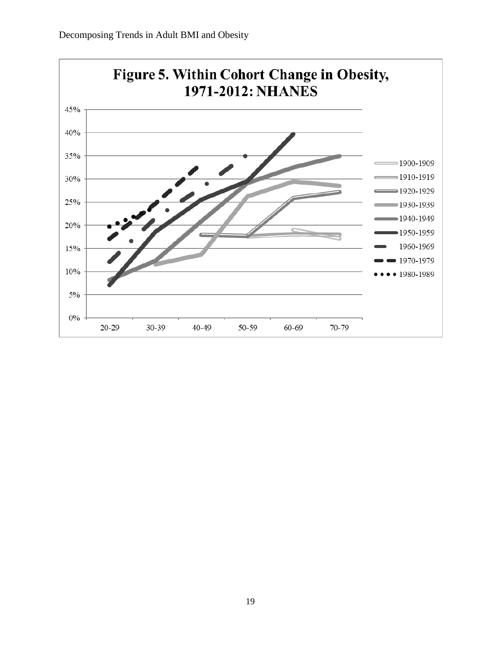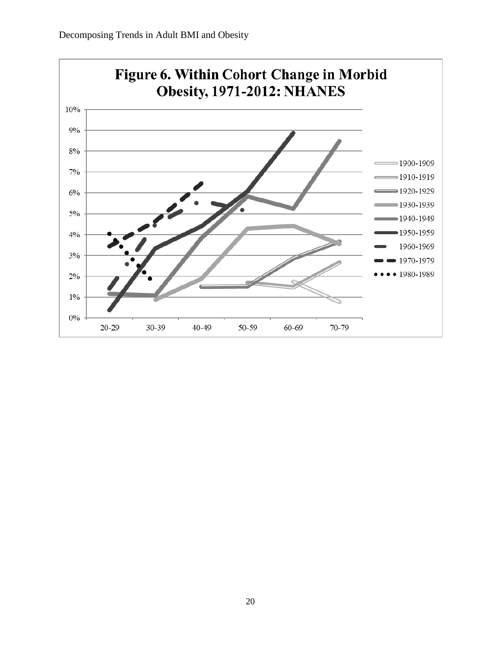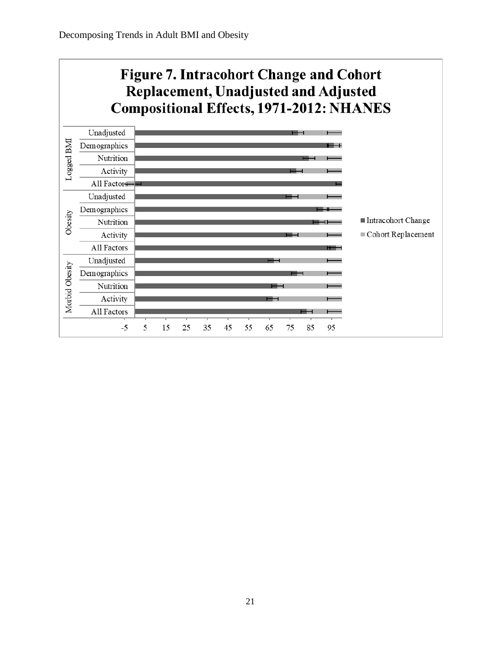